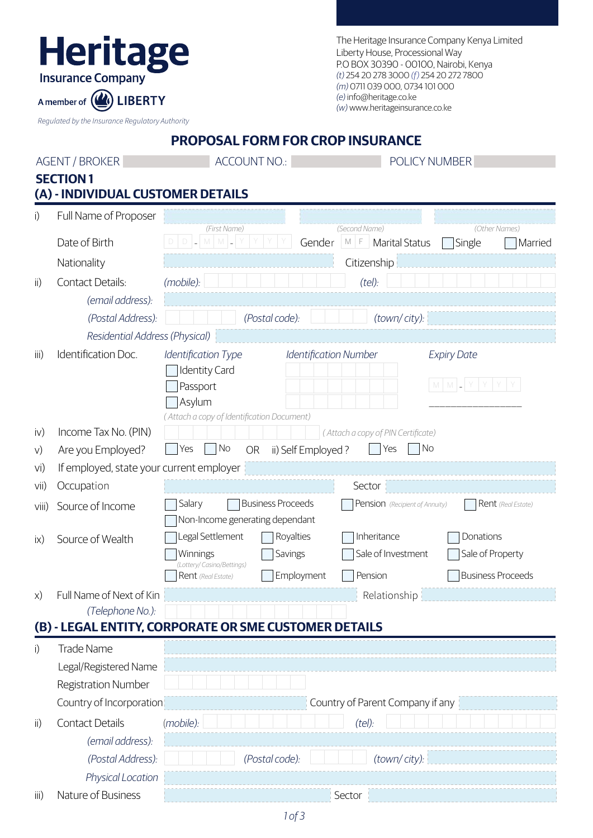| The Heritage Insurance Company Kenya Limited |
|----------------------------------------------|
| Liberty House, Processional Way              |
| P.O BOX 30390 - 00100, Nairobi, Kenya        |
| (t) 254 20 278 3000 (f) 254 20 272 7800      |
| (m) 0711 039 000, 0734 101 000               |
| (e) info@heritage.co.ke                      |
| (w) www.heritageinsurance.co.ke              |

*Regulated by the Insurance Regulatory Authority*

A member of (A) LIBERTY

Heritage

### **PROPOSAL FORM FOR CROP INSURANCE**

| <b>AGENT / BROKER</b> |                                   | <b>ACCOUNT NO.:</b>                                   |                                                      | POLICY NUMBER                      |  |  |
|-----------------------|-----------------------------------|-------------------------------------------------------|------------------------------------------------------|------------------------------------|--|--|
|                       | <b>SECTION1</b>                   |                                                       |                                                      |                                    |  |  |
|                       | (A) - INDIVIDUAL CUSTOMER DETAILS |                                                       |                                                      |                                    |  |  |
| i)                    | Full Name of Proposer             |                                                       |                                                      |                                    |  |  |
|                       | Date of Birth                     | (First Name)<br>$D$ $\sim$ $M$ $M$ $\sim$             | (Second Name)<br>Gender<br>$M \mid F$ Marital Status | (Other Names)<br>Single<br>Married |  |  |
|                       | Nationality                       |                                                       | Citizenship                                          |                                    |  |  |
| $\mathsf{ii}$         | <b>Contact Details:</b>           | (mobile):                                             | (tel):                                               |                                    |  |  |
|                       | (email address):                  |                                                       |                                                      |                                    |  |  |
|                       | (Postal Address):                 | (Postal code):                                        | (town/city):                                         |                                    |  |  |
|                       | Residential Address (Physical)    |                                                       |                                                      |                                    |  |  |
| iii)                  | Identification Doc.               | Identification Type<br><b>Identity Card</b>           | <b>Identification Number</b>                         | <b>Expiry Date</b>                 |  |  |
|                       |                                   | Passport                                              |                                                      |                                    |  |  |
|                       |                                   | Asylum                                                |                                                      |                                    |  |  |
|                       |                                   | (Attach a copy of Identification Document)            |                                                      |                                    |  |  |
| iv)                   | Income Tax No. (PIN)              |                                                       | (Attach a copy of PIN Certificate)                   |                                    |  |  |
| V)                    | Are you Employed?                 | No<br>OR<br>Yes                                       | No<br>ii) Self Employed?<br>Yes                      |                                    |  |  |
| vi)                   |                                   | If employed, state your current employer              |                                                      |                                    |  |  |
| Vi                    | Occupation                        | <b>Business Proceeds</b><br>Salary                    | Sector<br>Pension (Recipient of Annuity)             | Rent (Real Estate)                 |  |  |
| Viii)                 | Source of Income                  | Non-Income generating dependant                       |                                                      |                                    |  |  |
| $\mathsf{ix}$         | Source of Wealth                  | Legal Settlement<br>Royalties                         | Inheritance                                          | Donations                          |  |  |
|                       |                                   | Savings<br>Winnings                                   | Sale of Investment                                   | Sale of Property                   |  |  |
|                       |                                   | (Lottery/ Casino/Bettings)<br>Rent (Real Estate)      | Employment<br>Pension                                | <b>Business Proceeds</b>           |  |  |
| $\chi$ )              | Full Name of Next of Kin          |                                                       | Relationship                                         |                                    |  |  |
|                       | (Telephone No.):                  |                                                       |                                                      |                                    |  |  |
|                       |                                   | (B) - LEGAL ENTITY, CORPORATE OR SME CUSTOMER DETAILS |                                                      |                                    |  |  |
| i)                    | <b>Trade Name</b>                 |                                                       |                                                      |                                    |  |  |
|                       | Legal/Registered Name             |                                                       |                                                      |                                    |  |  |
|                       | <b>Registration Number</b>        |                                                       |                                                      |                                    |  |  |
|                       | Country of Incorporation          |                                                       | Country of Parent Company if any                     |                                    |  |  |
| $\mathsf{ii}$         | <b>Contact Details</b>            | (mobile):                                             | (tel):                                               |                                    |  |  |
|                       | (email address):                  |                                                       |                                                      |                                    |  |  |
|                       | (Postal Address):                 | (Postal code):                                        | (town/city):                                         |                                    |  |  |
|                       | Physical Location                 |                                                       |                                                      |                                    |  |  |
| iii)                  | Nature of Business                |                                                       | Sector                                               |                                    |  |  |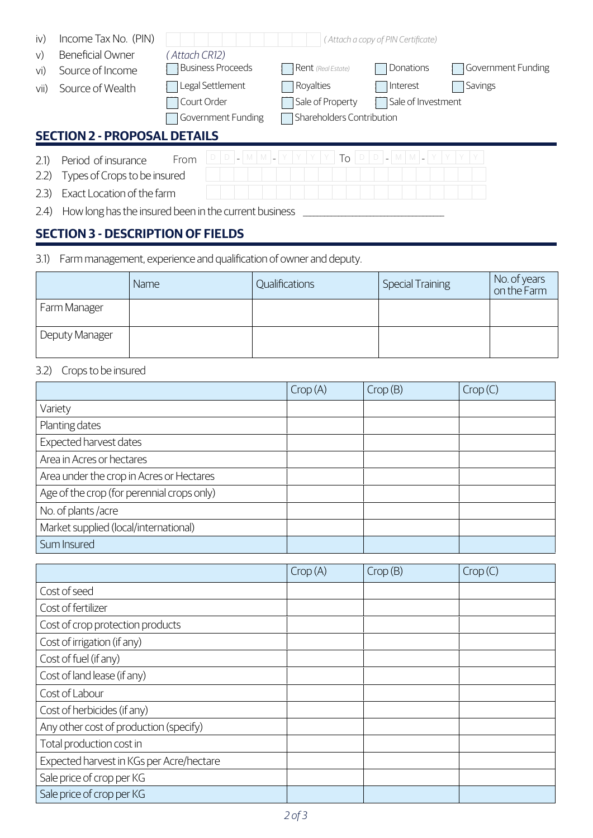| $\mathsf{iv}$<br>V) | Income Tax No. (PIN)<br>Beneficial Owner            | (Attach CR12) |                          |                           | (Attach a copy of PIN Certificate)  |                    |  |
|---------------------|-----------------------------------------------------|---------------|--------------------------|---------------------------|-------------------------------------|--------------------|--|
| V <sub>1</sub>      | Source of Income                                    |               | <b>Business Proceeds</b> | <b>Rent</b> (Real Estate) | Donations                           | Government Funding |  |
| VII)                | Source of Wealth                                    |               | Legal Settlement         | Royalties                 | Interest                            | Savings            |  |
|                     |                                                     | Court Order   |                          | Sale of Property          | Sale of Investment                  |                    |  |
|                     |                                                     |               | Government Funding       | Shareholders Contribution |                                     |                    |  |
|                     | <b>SECTION 2 - PROPOSAL DETAILS</b>                 |               |                          |                           |                                     |                    |  |
| 2.1)<br>2.2)        | Period of insurance<br>Types of Crops to be insured | From          |                          | To                        | ' D   D  _  M   M  _  Y   Y   Y   Y |                    |  |
| (2.3)               | Exact Location of the farm                          |               |                          |                           |                                     |                    |  |

2.4) How long has the insured been in the current business \_\_\_\_\_\_\_\_\_\_\_\_\_\_\_\_\_\_\_\_\_\_

# **SECTION 3 - DESCRIPTION OF FIELDS**

3.1) Farm management, experience and qualification of owner and deputy.

|                | Name | Qualifications | Special Training | No. of years<br>on the Farm |
|----------------|------|----------------|------------------|-----------------------------|
| Farm Manager   |      |                |                  |                             |
| Deputy Manager |      |                |                  |                             |

### 3.2) Crops to be insured

|                                            | Crop(A) | Crop(B) | Crop(C) |
|--------------------------------------------|---------|---------|---------|
| Variety                                    |         |         |         |
| Planting dates                             |         |         |         |
| Expected harvest dates                     |         |         |         |
| Area in Acres or hectares                  |         |         |         |
| Area under the crop in Acres or Hectares   |         |         |         |
| Age of the crop (for perennial crops only) |         |         |         |
| No. of plants /acre                        |         |         |         |
| Market supplied (local/international)      |         |         |         |
| Sum Insured                                |         |         |         |

|                                          | Crop(A) | Crop(B) | Crop(C) |
|------------------------------------------|---------|---------|---------|
| Cost of seed                             |         |         |         |
| Cost of fertilizer                       |         |         |         |
| Cost of crop protection products         |         |         |         |
| Cost of irrigation (if any)              |         |         |         |
| Cost of fuel (if any)                    |         |         |         |
| Cost of land lease (if any)              |         |         |         |
| Cost of Labour                           |         |         |         |
| Cost of herbicides (if any)              |         |         |         |
| Any other cost of production (specify)   |         |         |         |
| Total production cost in                 |         |         |         |
| Expected harvest in KGs per Acre/hectare |         |         |         |
| Sale price of crop per KG                |         |         |         |
| Sale price of crop per KG                |         |         |         |